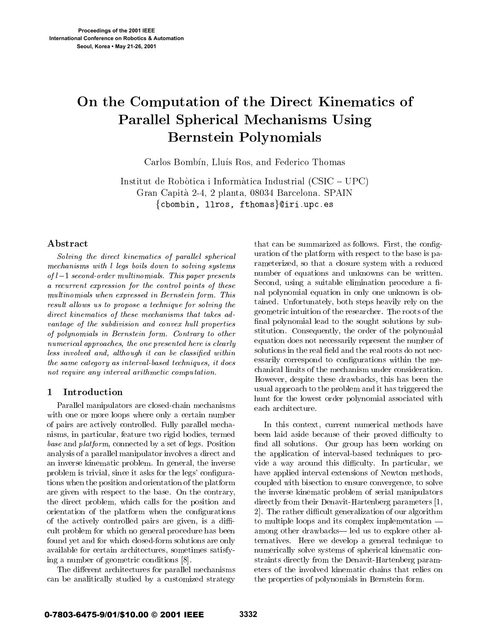# On the Computation of the Direct Kinematics of Parallel Spherical Mechanisms Using Bernstein Polynomials

Carlos Bombín, Lluís Ros, and Federico Thomas

Institut de Robòtica i Informàtica Industrial  $(CSIC - UPC)$ Gran Capita 2-4, 2 planta, 08034 Barcelona. SPAIN  $\{cbombin, llros, fhomas\}$ @iri.upc.es

 $S$ olving the direct kinematics of parallel spherical  $\sim$ mechanisms with <sup>l</sup> legs boils down to solving systems  $\sigma_l$  i  $-1$  second-order multinomials. This paper presents a recurrent expression for the control pother of these c multinomials when expressed in Bernstein form. This result allows us to propose a technique for solving the direct at the contract of these mechanisms that the takes addressed and the takes advantage of the subdivision and convex half properties of polynomials in Bernstein form. Contrary to other numerical approaches, the one presented here is clearlyless involved and, although it can be classied within the same category as interval-based techniques, it doesnot require any interval arithmetic computation.

#### 1 **Introduction**

Parallel manipulators are closed-chain mechanisms with one or more loops where only a certain number of pairs are actively controlled. Fully parallel mechanisms, in particular, feature two rigid bodies, termed base and platform, connected by a set of legs. Position analysis of a parallel manipulator involves a direct and an inverse kinematic problem. In general, the inverse problem is trivial, since it asks for the legs' configurations when the position and orientation of the platform are given with respect to the base. On the contrary, the direct problem, which calls for the position and orientation of the platform when the congurations of the actively controlled pairs are given, is a difficult problem for which no general procedure has been found yet and for which closed-form solutions are only available for certain architectures, sometimes satisfying a number of geometric conditions [8].

The different architectures for parallel mechanisms can be analitically studied by a customized strategy that can be summarized as follows. First, the conguration of the platform with respect to the base is parameterized, so that a closure system with a reduced number of equations and unknowns can be written. Second, using a suitable elimination procedure a final polynomial equation in only one unknown is obtained. Unfortunately, both steps heavily rely on the geometric intuition of the researcher. The roots of the final polynomial lead to the sought solutions by substitution. Consequently, the order of the polynomial equation does not necessarily represent the number of essarily correspond to configurations within the me-However, despite these drawbacks, this has been the usual approach to the problem and it has triggered the hunt for the lowest order polynomial associated with

In this context, current numerical methods have been laid aside because of their proved difficulty to find all solutions. Our group has been working on the application of interval-based techniques to provide a way around this difficulty. In particular, we have applied interval extensions of Newton methods, coupled with bisection to ensure convergence, to solve the inverse kinematic problem of serial manipulators directly from their Denavit-Hartenberg parameters [1, 2. The rather difficult generalization of our algorithm to multiple loops and its complex implementation  $$ among other drawbacks— led us to explore other alternatives. Here we develop a general technique to numerically solve systems of spherical kinematic constraints directly from the Denavit-Hartenberg parameters of the involved kinematic chains that relies on the properties of polynomials in Bernstein form.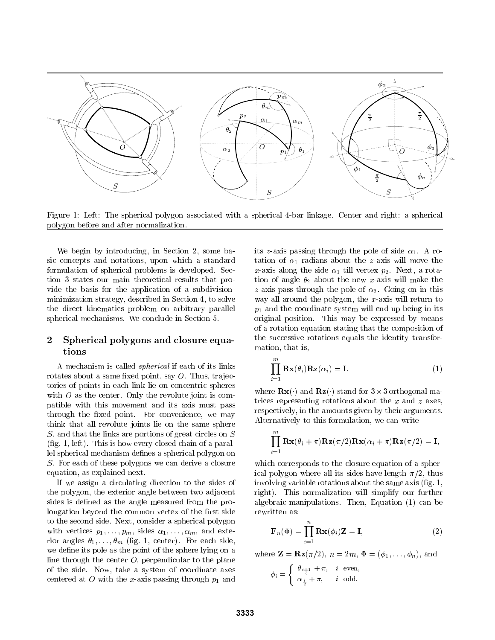

Figure 1: Left: The spherical polygon associated with a spherical 4-bar linkage. Center and right: a spherical polygon before and after normalization.

We begin by introducing, in Section 2, some basic concepts and notations, upon which a standard formulation of spherical problems is developed. Section 3 states our main theoretical results that provide the basis for the application of a subdivisionminimization strategy, described in Section 4, to solve the direct kinematics problem on arbitrary parallel spherical mechanisms. We conclude in Section 5.

# 2 Spherical polygons and closure equations

A mechanism is called spherical if each of its links rotates about a same fixed point, say  $O$ . Thus, trajectories of points in each link lie on concentric spheres with  $O$  as the center. Only the revolute joint is compatible with this movement and its axis must pass through the fixed point. For convenience, we may think that all revolute joints lie on the same sphere S, and that the links are portions of great circles on <sup>S</sup>  $(f \nvert g. 1, \nvert e f t)$ . This is how every closed chain of a parallel spherical mechanism defines a spherical polygon on S. For each of these polygons we can derive a closure equation, as explained next.

If we assign a circulating direction to the sides of the polygon, the exterior angle between two adjacent sides is defined as the angle measured from the prolongation beyond the common vertex of the first side to the second side. Next, consider a spherical polygon with vertices  $p_1,\ldots,p_m$ , sides  $\alpha_1,\ldots,\alpha_m$ , and exterior angles  $\theta_1, \ldots, \theta_m$  (fig. 1, center). For each side, we define its pole as the point of the sphere lying on a line through the center  $O$ , perpendicular to the plane of the side. Now, take a system of coordinate axes centered at O with the x-axis passing through  $p_1$  and its z-axis passing through the pole of side  $\alpha_1$ . A rotation of  $\alpha_1$  radians about the z-axis will move the x-axis along the side  $\alpha_1$  till vertex  $p_2$ . Next, a rotation of angle  $\theta_2$  about the new x-axis will make the z-axis pass through the pole of  $\alpha_2$ . Going on in this way all around the polygon, the  $x$ -axis will return to  $p_1$  and the coordinate system will end up being in its original position. This may be expressed by means of a rotation equation stating that the composition of the successive rotations equals the identity transformation, that is,

$$
\prod_{i=1}^{m} \mathbf{R} \mathbf{x}(\theta_i) \mathbf{R} \mathbf{z}(\alpha_i) = \mathbf{I}.
$$
 (1)

where  $\alpha$  is a standard for  $\alpha$  -  $\alpha$  -  $\alpha$  -  $\alpha$  -  $\alpha$  -  $\alpha$  -  $\alpha$  -  $\alpha$  -  $\alpha$  -  $\alpha$  -  $\alpha$  -  $\alpha$  -  $\alpha$  -  $\alpha$  -  $\alpha$  -  $\alpha$  -  $\alpha$  -  $\alpha$  -  $\alpha$  -  $\alpha$  -  $\alpha$  -  $\alpha$  -  $\alpha$  -  $\alpha$  -  $\alpha$  -  $\alpha$  -  $\alpha$  -  $\alpha$ trices representing rotations about the  $x$  and  $z$  axes, respectively, in the amounts given by their arguments. Alternatively to this formulation, we can write

$$
\prod_{i=1}^m \mathbf{R} \mathbf{x}(\theta_i + \pi) \mathbf{R} \mathbf{z}(\pi/2) \mathbf{R} \mathbf{x}(\alpha_i + \pi) \mathbf{R} \mathbf{z}(\pi/2) = \mathbf{I},
$$

which corresponds to the closure equation of a spherical polygon where all its sides have length  $\pi/2$ , thus involving variable rotations about the same axis  $(f_1, f_2, \ldots, f_n)$ right). This normalization will simplify our further algebraic manipulations. Then, Equation (1) can be rewritten as:

$$
\mathbf{F}_n(\Phi) = \prod_{i=1}^n \mathbf{R} \mathbf{x}(\phi_i) \mathbf{Z} = \mathbf{I},
$$
\n(2)

where  $\mathbf{Z} = \mathbf{Rz}(\pi/2), n = 2m, \Phi=(\phi_1,\ldots,\phi_n)$ , and

$$
\phi_i = \begin{cases} \theta_{\frac{i+1}{2}} + \pi, & i \text{ even,} \\ \alpha_{\frac{i}{2}} + \pi, & i \text{ odd.} \end{cases}
$$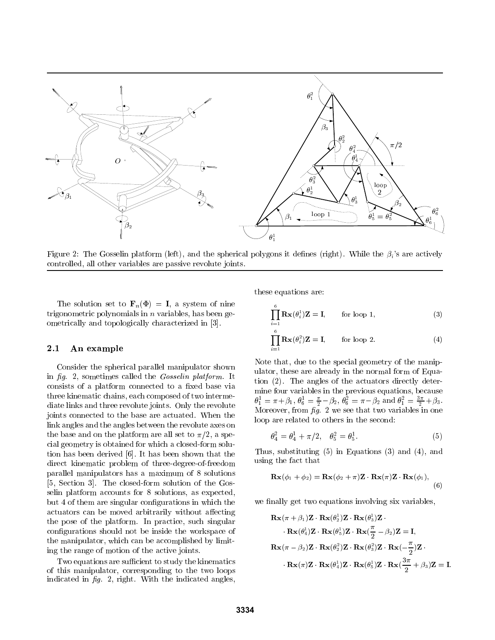

Figure 2: The Gosselin platform (left), and the spherical polygons it defines (right). While the  $\beta_i$ 's are actively controlled, all other variables are passive revolute joints.

The solution set to  $\mathbf{F}_n(\Phi) = \mathbf{I}$ , a system of nine trigonometric polynomials in  $n$  variables, has been geometrically and topologically characterized in [3].

# 2.1 An example

Consider the spherical parallel manipulator shown in  $fig. 2$ , sometimes called the *Gosselin platform*. It consists of a platform connected to a fixed base via three kinematic chains, each composed of two intermediate links and three revolute joints. Only the revolute joints connected to the base are actuated. When the link angles and the angles between the revolute axes on the base and on the platform are all set to  $\pi/2$ , a special geometry is obtained for which a closed-form solution has been derived [6]. It has been shown that the direct kinematic problem of three-degree-of-freedom parallel manipulators has a maximum of 8 solutions [5, Section 3]. The closed-form solution of the Gosselin platform accounts for 8 solutions, as expected, but 4 of them are singular congurations in which the actuators can be moved arbitrarily without affecting the pose of the platform. In practice, such singular congurations should not be inside the workspace of the manipulator, which can be accomplished by limiting the range of motion of the active joints.

Two equations are sufficient to study the kinematics of this manipulator, corresponding to the two loops indicated in  $\mathit{fig}$ . 2, right. With the indicated angles, these equations are:

$$
\prod_{i=1}^{6} \mathbf{R} \mathbf{x}(\theta_i^1) \mathbf{Z} = \mathbf{I}, \quad \text{for loop } 1,
$$
\n(3)

$$
\prod_{i=1}^{6} \mathbf{R} \mathbf{x}(\theta_i^2) \mathbf{Z} = \mathbf{I}, \quad \text{for loop 2.} \tag{4}
$$

Note that, due to the special geometry of the manipulator, these are already in the normal form of Equation (2). The angles of the actuators directly determine four variables in the previous equations, because  $\sigma_1 = \pi + \rho_1, \sigma_6 = \frac{1}{2} - \rho_2, \sigma_6 = \pi - \rho_2$  and  $\sigma_1 = \frac{1}{2} + \rho_3$ . Moreover, from g. 2 we see that two variables in one loop are related to others in the second:

$$
\theta_4^2 = \theta_4^1 + \pi/2, \quad \theta_5^2 = \theta_5^1. \tag{5}
$$

Thus, substituting (5) in Equations (3) and (4), and using the fact that

$$
\mathbf{R}\mathbf{x}(\phi_1 + \phi_2) = \mathbf{R}\mathbf{x}(\phi_2 + \pi)\mathbf{Z} \cdot \mathbf{R}\mathbf{x}(\pi)\mathbf{Z} \cdot \mathbf{R}\mathbf{x}(\phi_1),
$$
\n(6)

we finally get two equations involving six variables,

$$
\mathbf{R}\mathbf{x}(\pi + \beta_1)\mathbf{Z} \cdot \mathbf{R}\mathbf{x}(\theta_2^1)\mathbf{Z} \cdot \mathbf{R}\mathbf{x}(\theta_3^1)\mathbf{Z} \cdot \mathbf{R}\mathbf{x}(\theta_4^1)\mathbf{Z} \cdot \mathbf{R}\mathbf{x}(\theta_5^1)\mathbf{Z} \cdot \mathbf{R}\mathbf{x}(\frac{\pi}{2} - \beta_2)\mathbf{Z} = \mathbf{I},
$$
\n
$$
\mathbf{R}\mathbf{x}(\pi - \beta_2)\mathbf{Z} \cdot \mathbf{R}\mathbf{x}(\theta_2^2)\mathbf{Z} \cdot \mathbf{R}\mathbf{x}(\theta_3^2)\mathbf{Z} \cdot \mathbf{R}\mathbf{x}(-\frac{\pi}{2})\mathbf{Z} \cdot \mathbf{R}\mathbf{x}(\pi)\mathbf{Z} \cdot \mathbf{R}\mathbf{x}(\theta_4^1)\mathbf{Z} \cdot \mathbf{R}\mathbf{x}(\theta_5^1)\mathbf{Z} \cdot \mathbf{R}\mathbf{x}(\frac{3\pi}{2} + \beta_3)\mathbf{Z} = \mathbf{I}.
$$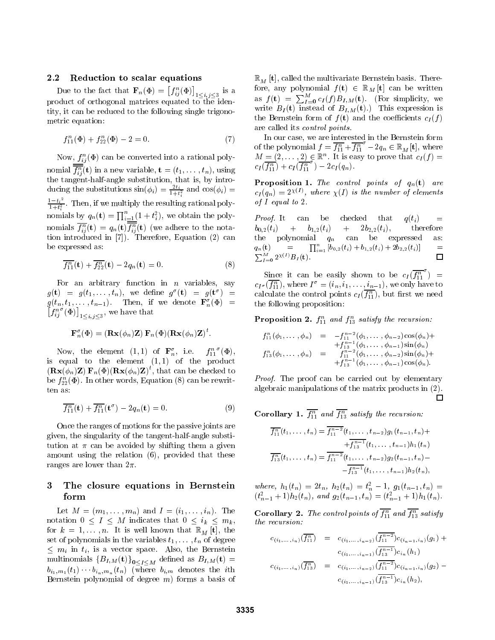# 2.2 Reduction to scalar equations

Due to the fact that  $\mathbf{F}_n(\Phi) = \left[ f_{ij}^n(\Phi) \right]_{1 \le i,j \le 3}$  is a state product of orthogonal matrices equated to the identity, it can be reduced to the following single trigonometric equation:

$$
f_{11}^n(\Phi) + f_{22}^n(\Phi) - 2 = 0.
$$
 (7)

Now,  $f_{ij}(\Psi)$  can be converted into a rational polynomial  $f_{ij}(\mathbf{t})$  in a new variable,  $\mathbf{t} = (t_1,\ldots,t_n)$ , using the set ducing the substitutions  $\sin(\phi_i) = \frac{2t_i}{1+t_i^2}$  and  $\cos(\phi_i) = \frac{f(\phi_i)}{c_I(q_n)}$  $\frac{1-t_i^2}{1+t_i^2}$ . Then, if we multiply the resulting rational polynomials by  $q_n(\mathbf{t}) = \prod_{i=1}^n (1 + t_i^2)$ , we obtain the polynomials  $f_{i,j}(t) = q_n(t) f_{i,j}(t)$  (we adhere to the notation introduced in [7]). Therefore, Equation (2) can be expressed as:

$$
\overline{f_{11}^n}(\mathbf{t}) + \overline{f_{22}^n}(\mathbf{t}) - 2q_n(\mathbf{t}) = 0.
$$
 (8)

For an arbitrary function in  $n$  variables, say  $g(\mathbf{t}) = g(t_1, \dots, t_n)$ , we define  $g^*(\mathbf{t}) = g(\mathbf{t}^*) =$  $g(t_n, t_1, \ldots, t_{n-1}).$  Then, if we denote  $\mathbf{r}_n(\Psi) =$  the follow  $\left[f_{ij}^{n\sigma}(\Phi)\right]_{1\leq i,j\leq 3}$ , we have that

$$
\mathbf{F}_n^{\sigma}(\Phi) = (\mathbf{R} \mathbf{x}(\phi_n) \mathbf{Z}) \mathbf{F}_n(\Phi) (\mathbf{R} \mathbf{x}(\phi_n) \mathbf{Z})^t.
$$

Now, the element  $(1,1)$  of  $\mathbf{F}_n^{\sigma}$ , i.e.  $i_1^{\circ}$  ( $\Psi$ ), is equal to the element  $(1, 1)$  of the product  $(\mathbf{Kx}(\phi_n)\mathbf{Z})\mathbf{F}_n(\Phi)(\mathbf{Kx}(\phi_n)\mathbf{Z})$ , that can be checked to be  $f_{22}(\Psi)$ . In other words, Equation (8) can be rewritten as:

$$
\overline{f_{11}^n}(\mathbf{t}) + \overline{f_{11}^n}(\mathbf{t}^\sigma) - 2q_n(\mathbf{t}) = 0.
$$
 (9)

Once the ranges of motions for the passive joints are given, the singularity of the tangent-half-angle substitution at  $\pi$  can be avoided by shifting them a given amount using the relation  $(6)$ , provided that these ranges are lower than  $2\pi$ .

### 3 3 The closure equations in Bernstein form

Let  $M = (m_1, ..., m_n)$  and  $I = (i_1, ..., i_n)$ . The notation  $0 \leq I \leq M$  indicates that  $0 \leq i_k \leq m_k$ , for  $k = 1, \ldots, n$ . It is well known that  $\mathbb{R}_M$  [t], the set of polynomials in the variables  $t_1,\ldots,t_n$  of degree  $\leq m_i$  in  $t_i$ , is a vector space. Also, the Bernstein multinomials for  $\mathcal{L} = I$ ,  $M \sim$  ) if  $0 \leq I \leq M$  is become as  $B = I$ ,  $M \sim$  )  $b_{i_1,m_1}(t_1) \cdots b_{i_n,m_n}(t_n)$  (where  $b_{i,m}$  denotes the *i*th Bernstein polynomial of degree  $m$ ) forms a basis of

 $\mathbb{R}_M$  [t], called the multivariate Bernstein basis. Therefore, any polynomial  $f(\mathbf{t}) \in \mathbb{R}_M [\mathbf{t}]$  can be written as  $f(\mathbf{t}) = \sum_{I=0}^{M} c_I(f) B_{I,M}(\mathbf{t}).$  (For simplicity, we write  $B_I(t)$  instead of  $B_{I,M}(t)$ .) This expression is the Bernstein form of  $f(t)$  and the coefficients  $c_I(f)$ are called its control points.

In our case, we are interested in the Bernstein form of the polynomial  $f=f_{11}^n+f_{11}^n-2q_n\in\mathbb{R}_M\left[{\bf t}\right],$  where  $M = (2, \ldots, 2) \in \mathbb{R}^n$ . It is easy to prove that  $c_I(f) =$  $c_I(f_{11}^n) + c_I(f_{11}^n) - 2c_I(q_n).$ 

**Proposition 1.** The control points of  $q_n(t)$  are  $c_I(q_n)=2^{\lambda\vee\vee}$ , where  $\chi(I)$  is the number of elements  $\sigma$ *i* I equative 2.

*Proof.* It can be checked that  $q(t_i)$  =  $b_{0,2}(t_i)$  +  $b_{1,2}(t_i)$  +  $2b_{2,2}(t_i)$ , therefore the polynomial  $q_n$  can be expressed as:  $q_n({\bf{t}}) \quad = \quad \prod_{i=1}^n \left[ b_{0,2} (t_i) + b_{1,2} (t_i) + 2 b_{2,2} (t_i) \right] \qquad = \ \sum_{I=0}^M 2^{\chi(I)} B_I({\bf{t}}) .$  $\Box$ 

 $\sigma$  = calculate the control points  $c_I(f_{11})$ , but first we need Since it can be easily shown to be  $c_I(f_{11}^n)$  =  $c_I \sigma(f_{11}),$  where  $I = (i_n, i_1, \ldots, i_{n-1}),$  we only have to the following proposition:

**Proposition 2.**  $f_{11}$  and  $f_{13}$  satisfy the recursion:

$$
f_{11}^n(\phi_1,\ldots,\phi_n) = -f_{11}^{n-2}(\phi_1,\ldots,\phi_{n-2})\cos(\phi_n)++f_{13}^{n-1}(\phi_1,\ldots,\phi_{n-1})\sin(\phi_n)f_{13}^n(\phi_1,\ldots,\phi_n) = f_{11}^{n-2}(\phi_1,\ldots,\phi_{n-2})\sin(\phi_n)++f_{13}^{n-1}(\phi_1,\ldots,\phi_{n-1})\cos(\phi_n).
$$

Proof. The proof can be carried out by elementary algebraic manipulations of the matrix products in (2).  $\Box$ 

Coronary 1.  $f_{11}$  and  $f_{13}$  satisfy the recursion.

$$
\overline{f_{11}^n}(t_1,\ldots,t_n) = \overline{f_{11}^{n-2}}(t_1,\ldots,t_{n-2})g_1(t_{n-1},t_n) + \n+\overline{f_{13}^{n-1}}(t_1,\ldots,t_{n-1})h_1(t_n) \n\overline{f_{13}^n}(t_1,\ldots,t_n) = \overline{f_{11}^{n-2}}(t_1,\ldots,t_{n-2})g_2(t_{n-1},t_n) - \n-\overline{f_{13}^{n-1}}(t_1,\ldots,t_{n-1})h_2(t_n),
$$

where,  $h_1(t_n) = 2t_n$ ,  $h_2(t_n) = t_n^- - 1$ ,  $g_1(t_{n-1}, t_n) =$  $(t_{n-1}+1)h_2(t_n),$  and  $g_2(t_{n-1}, t_n)=(t_{n-1}+1)h_1(t_n).$ 

Corollary 2. The control points of  $f_{11}$  and  $f_{13}$  satisfy the recursion:

$$
c_{(i_1,...,i_n)}(\overline{f_{11}^n}) = c_{(i_1,...,i_{n-2})}(\overline{f_{11}^{n-2}})c_{(i_{n-1},i_n)}(g_1) + c_{(i_1,...,i_{n-1})}(\overline{f_{13}^{n-1}})c_{i_n}(h_1)
$$
  

$$
c_{(i_1,...,i_n)}(\overline{f_{13}^n}) = c_{(i_1,...,i_{n-2})}(\overline{f_{11}^{n-2}})c_{(i_{n-1},i_n)}(g_2) - c_{(i_1,...,i_{n-1})}(\overline{f_{13}^{n-1}})c_{i_n}(h_2),
$$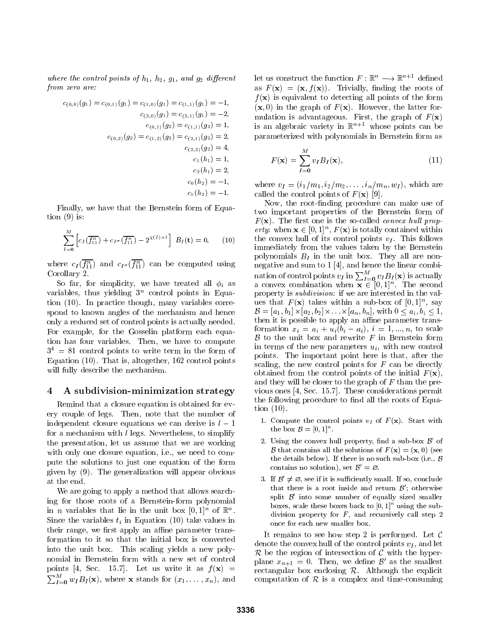where the control points of  $n_1$ ,  $n_2$ ,  $q_1$ , and  $q_2$  alferent from zero are:

$$
c_{(0,0)}(g_1) = c_{(0,1)}(g_1) = c_{(1,0)}(g_1) = c_{(1,1)}(g_1) = -1,
$$
  
\n
$$
c_{(2,0)}(g_1) = c_{(2,1)}(g_1) = -2,
$$
  
\n
$$
c_{(0,1)}(g_2) = c_{(1,1)}(g_2) = 1,
$$
  
\nis  
\n
$$
c_{(0,2)}(g_2) = c_{(1,2)}(g_2) = c_{(2,1)}(g_2) = 2,
$$
  
\n
$$
c_{(2,2)}(g_2) = 4,
$$
  
\n
$$
c_1(h_1) = 1,
$$
  
\n
$$
c_2(h_1) = 2,
$$
  
\n
$$
c_1(h_2) = -1,
$$
  
\n
$$
c_2(h_3) = -1.
$$

Finally, we have that the Bernstein form of Equation  $(9)$  is:

$$
\sum_{I=0}^{M} \left[ c_I(\overline{f_{11}^n}) + c_{I^{\sigma}}(\overline{f_{11}^n}) - 2^{\chi(I)+1} \right] B_I(\mathbf{t}) = 0, \qquad (10) \qquad \begin{array}{c} \mathbf{t} \\ \mathbf{t} \\ \mathbf{t} \end{array}
$$

where  $c_I(f_{11})$  and  $c_I\llcorner(f_{11})$  can be computed using  $-$  neg Corollary 2.

So far, for simplicity, we have treated all  $\phi_i$  as variables, thus yielding 31 control points in Equation (10). In practice though, many variables correspond to known angles of the mechanism and hence only a reduced set of control points is actually needed. For example, for the Gosselin platform each equation has four variables. Then, we have to compute  $3<sup>4</sup> = 81$  control points to write term in the form of Equation (10). That is, altogether, 162 control points will fully describe the mechanism.

# 4 A subdivision-minimization strategy

Remind that a closure equation is obtained for every couple of legs. Then, note that the number of independent closure equations we can derive is  $l - 1$ for a mechanism with  $l$  legs. Nevertheless, to simplify the presentation, let us assume that we are working with only one closure equation, i.e., we need to compute the solutions to just one equation of the form given by (9). The generalization will appear obvious at the end.

We are going to apply a method that allows searching for those roots of a Bernstein-form polynomial in  $n$  variables that he in the unit box  $[0,1]$  of  $\mathbb{R}^n$ . Since the variables  $t_i$  in Equation (10) take values in their range, we first apply an affine parameter transformation to it so that the initial box is converted into the unit box. This scaling yields a new polynomial in Bernstein form with a new set of control points [4, Sec. 15.7]. Let us write it as  $f(\mathbf{x}) =$  $\sum_{I=0}^{M} w_I B_I(\mathbf{x})$ , where **x** stands for  $(x_1,\ldots,x_n)$ , and com

let us construct the function  $F: \mathbb{R}^n \longrightarrow \mathbb{R}^{n+1}$  defined as  $F(\mathbf{x}) = (\mathbf{x}, f(\mathbf{x}))$ . Trivially, finding the roots of  $f$  (x) is equivalent to detecting all points of the form of the form  $(x, 0)$  in the graph of  $F(x)$ . However, the latter formulation is advantageous. First, the graph of  $F(\mathbf{x})$ is an algebraic variety in  $\mathbb{R}^{n+1}$  whose points can be parameterized with polynomials in Bernstein form as

$$
F(\mathbf{x}) = \sum_{I=0}^{M} v_I B_I(\mathbf{x}),
$$
\n(11)

c<sub>1</sub> (h2) = 1: where  $v_I = (i_1/m_1, i_2/m_2, \ldots, i_n/m_n, w_I)$ , which are called the control points of  $F(\mathbf{x})$  [9].

> Now, the root-nding procedure can make use of two important properties of the Bernstein form of  $F(X)$ . The mist one is the so-called *convex hull property*: when  $\mathbf{x} \in [0, 1]^n$ ,  $F(\mathbf{x})$  is totally contained within the convex hull of its control points  $v_I$ . This follows immediately from the values taken by the Bernstein polynomials  $B_I$  in the unit box. They all are nonnegative and sum to 1 [4], and hence the linear combination of control points  $v_I$  in  $\sum_{I=0}^{M} v_I B_I(\mathbf{x})$  is actually a convex combination when  $x \in [0, 1]$ . The second property is subdivision: if we are interested in the values that  $F(\mathbf{X})$  takes within a sub-box of  $[0,1]^\top$ , say  $D = |a_1, b_1| \wedge |a_2, b_2| \wedge \ldots \wedge |a_n, b_n|$ , with  $0 \wedge a_i, b_i \wedge 1$ , then it is possible to apply an affine parameter transformation  $x_i = a_i + u_i(b_i - a_i), i = 1, ..., n$ , to scale  $\beta$  to the unit box and rewrite  $F$  in Bernstein form in terms of the new parameters  $u_i$ , with new control points. The important point here is that, after the scaling, the new control points for  $F$  can be directly obtained from the control points of the initial  $F(\mathbf{x})$ , and they will be closer to the graph of  $F$  than the previous ones [4, Sec. 15.7]. These considerations permit the following procedure to find all the roots of Equation (10).

- 1. Compute the control points  $v_I$  of  $F(\mathbf{x})$ . Start with the box  $\mathcal{B} = [0, 1]^n$ .
- 2. Using the convex hull property, find a sub-box  $\mathcal{B}'$  of B that contains all the solutions of  $F(\mathbf{x})=(\mathbf{x}, 0)$  (see the details below). If there is no such sub-box (i.e.,  $\beta$ contains no solution), set  $\mathcal{B}' = \emptyset$ .
- 3. If  $\mathcal{B}' \neq \emptyset$ , see if it is sufficiently small. If so, conclude that there is a root inside and return  $\mathcal{B}'$ ; otherwise split  $\mathcal{B}'$  into some number of equally sized smaller boxes, scale these boxes back to  $[0, 1]^n$  using the subdivision property for  $F$ , and recursively call step 2 once for each new smaller box.

It remains to see how step 2 is performed. Let  $\mathcal C$ denote the convex hull of the control points  $v_I$ , and let  $\mathcal R$  be the region of intersection of  $\mathcal C$  with the hyperplane  $x_{n+1} = 0$ . Then, we define  $\mathcal{B}'$  as the smallest rectangular box enclosing  $R$ . Although the explicit computation of  $R$  is a complex and time-consuming